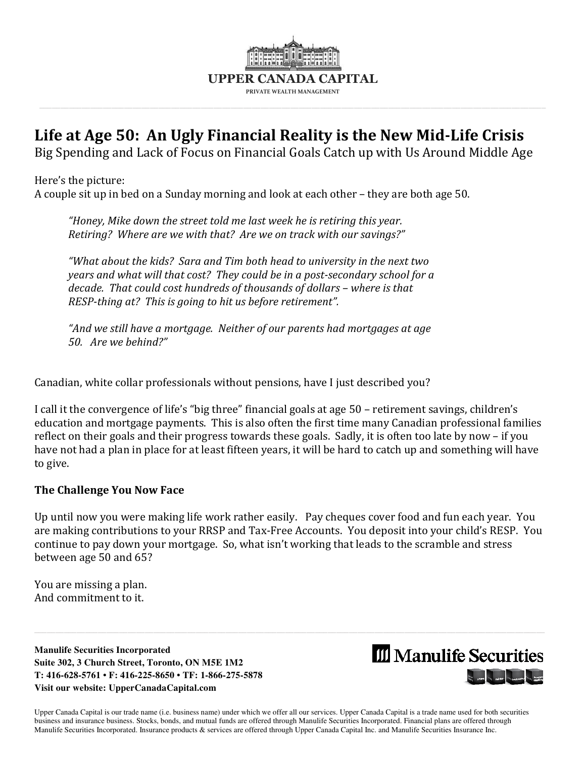

## **Life at Age 50: An Ugly Financial Reality is the New Mid-Life Crisis**

Big Spending and Lack of Focus on Financial Goals Catch up with Us Around Middle Age

Here's the picture: A couple sit up in bed on a Sunday morning and look at each other – they are both age 50.

*"Honey, Mike down the street told me last week he is retiring this year. Retiring? Where are we with that? Are we on track with our savings?"* 

*"What about the kids? Sara and Tim both head to university in the next two years and what will that cost? They could be in a post-secondary school for a decade. That could cost hundreds of thousands of dollars – where is that RESP-thing at? This is going to hit us before retirement".* 

*"And we still have a mortgage. Neither of our parents had mortgages at age 50. Are we behind?"* 

Canadian, white collar professionals without pensions, have I just described you?

I call it the convergence of life's "big three" financial goals at age 50 – retirement savings, children's education and mortgage payments. This is also often the first time many Canadian professional families reflect on their goals and their progress towards these goals. Sadly, it is often too late by now – if you have not had a plan in place for at least fifteen years, it will be hard to catch up and something will have to give.

#### **The Challenge You Now Face**

Up until now you were making life work rather easily. Pay cheques cover food and fun each year. You are making contributions to your RRSP and Tax-Free Accounts. You deposit into your child's RESP. You continue to pay down your mortgage. So, what isn't working that leads to the scramble and stress between age 50 and 65?

 $\_$  ,  $\_$  ,  $\_$  ,  $\_$  ,  $\_$  ,  $\_$  ,  $\_$  ,  $\_$  ,  $\_$  ,  $\_$  ,  $\_$  ,  $\_$  ,  $\_$  ,  $\_$  ,  $\_$  ,  $\_$  ,  $\_$  ,  $\_$  ,  $\_$  ,  $\_$  ,  $\_$  ,  $\_$  ,  $\_$  ,  $\_$  ,  $\_$  ,  $\_$  ,  $\_$  ,  $\_$  ,  $\_$  ,  $\_$  ,  $\_$  ,  $\_$  ,  $\_$  ,  $\_$  ,  $\_$  ,  $\_$  ,  $\_$  ,

You are missing a plan. And commitment to it.

**Manulife Securities Incorporated Suite 302, 3 Church Street, Toronto, ON M5E 1M2 T: 416-628-5761 • F: 416-225-8650 • TF: 1-866-275-5878 Visit our website: UpperCanadaCapital.com** 

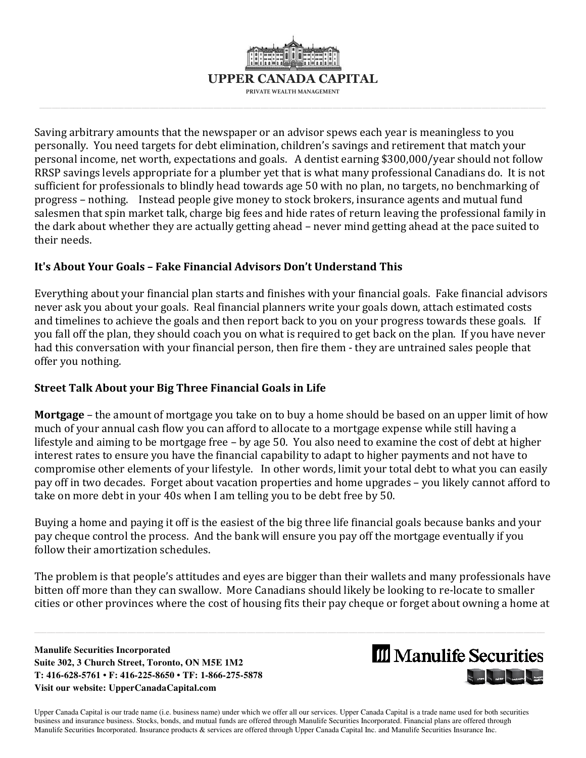

Saving arbitrary amounts that the newspaper or an advisor spews each year is meaningless to you personally. You need targets for debt elimination, children's savings and retirement that match your personal income, net worth, expectations and goals. A dentist earning \$300,000/year should not follow RRSP savings levels appropriate for a plumber yet that is what many professional Canadians do. It is not sufficient for professionals to blindly head towards age 50 with no plan, no targets, no benchmarking of progress – nothing. Instead people give money to stock brokers, insurance agents and mutual fund salesmen that spin market talk, charge big fees and hide rates of return leaving the professional family in the dark about whether they are actually getting ahead – never mind getting ahead at the pace suited to their needs.

#### **It's About Your Goals – Fake Financial Advisors Don't Understand This**

Everything about your financial plan starts and finishes with your financial goals. Fake financial advisors never ask you about your goals. Real financial planners write your goals down, attach estimated costs and timelines to achieve the goals and then report back to you on your progress towards these goals. If you fall off the plan, they should coach you on what is required to get back on the plan. If you have never had this conversation with your financial person, then fire them - they are untrained sales people that offer you nothing.

### **Street Talk About your Big Three Financial Goals in Life**

**Mortgage** – the amount of mortgage you take on to buy a home should be based on an upper limit of how much of your annual cash flow you can afford to allocate to a mortgage expense while still having a lifestyle and aiming to be mortgage free – by age 50. You also need to examine the cost of debt at higher interest rates to ensure you have the financial capability to adapt to higher payments and not have to compromise other elements of your lifestyle. In other words, limit your total debt to what you can easily pay off in two decades. Forget about vacation properties and home upgrades – you likely cannot afford to take on more debt in your 40s when I am telling you to be debt free by 50.

Buying a home and paying it off is the easiest of the big three life financial goals because banks and your pay cheque control the process. And the bank will ensure you pay off the mortgage eventually if you follow their amortization schedules.

The problem is that people's attitudes and eyes are bigger than their wallets and many professionals have bitten off more than they can swallow. More Canadians should likely be looking to re-locate to smaller cities or other provinces where the cost of housing fits their pay cheque or forget about owning a home at

 $\_$  ,  $\_$  ,  $\_$  ,  $\_$  ,  $\_$  ,  $\_$  ,  $\_$  ,  $\_$  ,  $\_$  ,  $\_$  ,  $\_$  ,  $\_$  ,  $\_$  ,  $\_$  ,  $\_$  ,  $\_$  ,  $\_$  ,  $\_$  ,  $\_$  ,  $\_$  ,  $\_$  ,  $\_$  ,  $\_$  ,  $\_$  ,  $\_$  ,  $\_$  ,  $\_$  ,  $\_$  ,  $\_$  ,  $\_$  ,  $\_$  ,  $\_$  ,  $\_$  ,  $\_$  ,  $\_$  ,  $\_$  ,  $\_$  ,

**Manulife Securities Incorporated Suite 302, 3 Church Street, Toronto, ON M5E 1M2 T: 416-628-5761 • F: 416-225-8650 • TF: 1-866-275-5878 Visit our website: UpperCanadaCapital.com** 

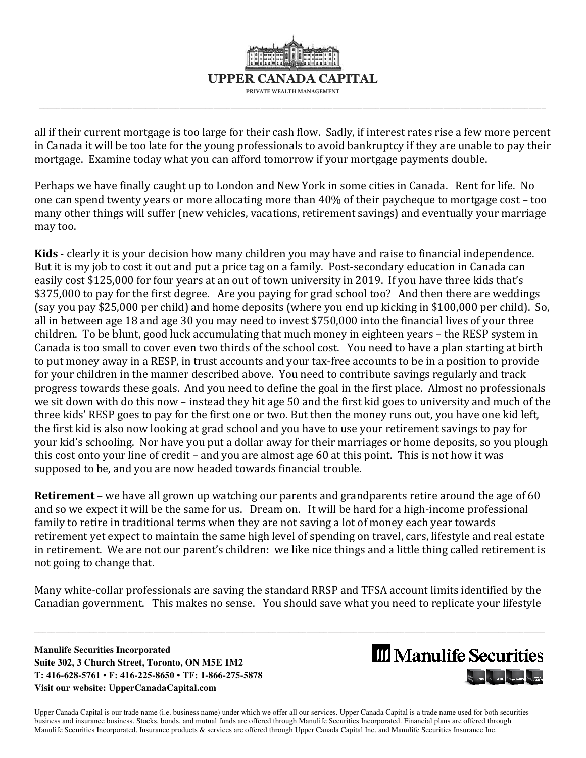

all if their current mortgage is too large for their cash flow. Sadly, if interest rates rise a few more percent in Canada it will be too late for the young professionals to avoid bankruptcy if they are unable to pay their mortgage. Examine today what you can afford tomorrow if your mortgage payments double.

Perhaps we have finally caught up to London and New York in some cities in Canada. Rent for life. No one can spend twenty years or more allocating more than 40% of their paycheque to mortgage cost – too many other things will suffer (new vehicles, vacations, retirement savings) and eventually your marriage may too.

**Kids** - clearly it is your decision how many children you may have and raise to financial independence. But it is my job to cost it out and put a price tag on a family. Post-secondary education in Canada can easily cost \$125,000 for four years at an out of town university in 2019. If you have three kids that's \$375,000 to pay for the first degree. Are you paying for grad school too? And then there are weddings (say you pay \$25,000 per child) and home deposits (where you end up kicking in \$100,000 per child). So, all in between age 18 and age 30 you may need to invest \$750,000 into the financial lives of your three children. To be blunt, good luck accumulating that much money in eighteen years – the RESP system in Canada is too small to cover even two thirds of the school cost. You need to have a plan starting at birth to put money away in a RESP, in trust accounts and your tax-free accounts to be in a position to provide for your children in the manner described above. You need to contribute savings regularly and track progress towards these goals. And you need to define the goal in the first place. Almost no professionals we sit down with do this now – instead they hit age 50 and the first kid goes to university and much of the three kids' RESP goes to pay for the first one or two. But then the money runs out, you have one kid left, the first kid is also now looking at grad school and you have to use your retirement savings to pay for your kid's schooling. Nor have you put a dollar away for their marriages or home deposits, so you plough this cost onto your line of credit – and you are almost age 60 at this point. This is not how it was supposed to be, and you are now headed towards financial trouble.

**Retirement** – we have all grown up watching our parents and grandparents retire around the age of 60 and so we expect it will be the same for us. Dream on. It will be hard for a high-income professional family to retire in traditional terms when they are not saving a lot of money each year towards retirement yet expect to maintain the same high level of spending on travel, cars, lifestyle and real estate in retirement. We are not our parent's children: we like nice things and a little thing called retirement is not going to change that.

Many white-collar professionals are saving the standard RRSP and TFSA account limits identified by the Canadian government. This makes no sense. You should save what you need to replicate your lifestyle

 $\_$  ,  $\_$  ,  $\_$  ,  $\_$  ,  $\_$  ,  $\_$  ,  $\_$  ,  $\_$  ,  $\_$  ,  $\_$  ,  $\_$  ,  $\_$  ,  $\_$  ,  $\_$  ,  $\_$  ,  $\_$  ,  $\_$  ,  $\_$  ,  $\_$  ,  $\_$  ,  $\_$  ,  $\_$  ,  $\_$  ,  $\_$  ,  $\_$  ,  $\_$  ,  $\_$  ,  $\_$  ,  $\_$  ,  $\_$  ,  $\_$  ,  $\_$  ,  $\_$  ,  $\_$  ,  $\_$  ,  $\_$  ,  $\_$  ,

**Manulife Securities Incorporated Suite 302, 3 Church Street, Toronto, ON M5E 1M2 T: 416-628-5761 • F: 416-225-8650 • TF: 1-866-275-5878 Visit our website: UpperCanadaCapital.com** 

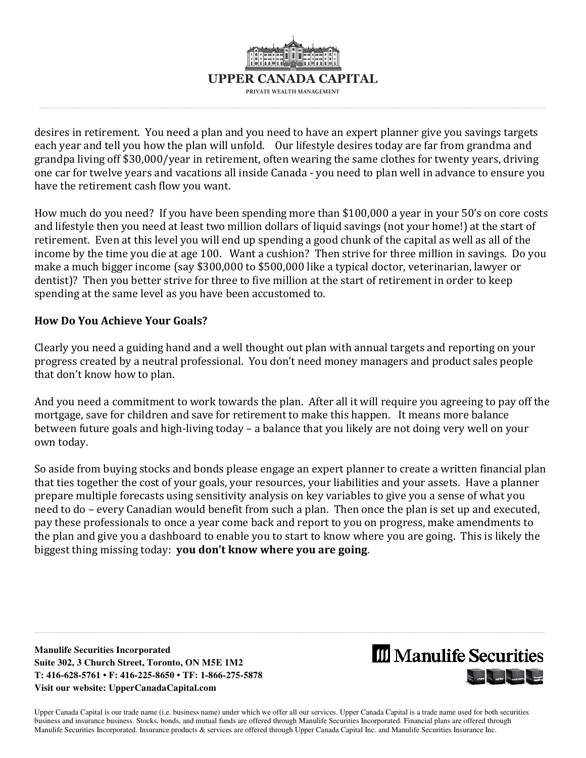

desires in retirement. You need a plan and you need to have an expert planner give you savings targets each year and tell you how the plan will unfold. Our lifestyle desires today are far from grandma and grandpa living off \$30,000/year in retirement, often wearing the same clothes for twenty years, driving one car for twelve years and vacations all inside Canada - you need to plan well in advance to ensure you have the retirement cash flow you want.

How much do you need? If you have been spending more than \$100,000 a year in your 50's on core costs and lifestyle then you need at least two million dollars of liquid savings (not your home!) at the start of retirement. Even at this level you will end up spending a good chunk of the capital as well as all of the income by the time you die at age 100. Want a cushion? Then strive for three million in savings. Do you make a much bigger income (say \$300,000 to \$500,000 like a typical doctor, veterinarian, lawyer or dentist)? Then you better strive for three to five million at the start of retirement in order to keep spending at the same level as you have been accustomed to.

#### **How Do You Achieve Your Goals?**

Clearly you need a guiding hand and a well thought out plan with annual targets and reporting on your progress created by a neutral professional. You don't need money managers and product sales people that don't know how to plan.

And you need a commitment to work towards the plan. After all it will require you agreeing to pay off the mortgage, save for children and save for retirement to make this happen. It means more balance between future goals and high-living today – a balance that you likely are not doing very well on your own today.

So aside from buying stocks and bonds please engage an expert planner to create a written financial plan that ties together the cost of your goals, your resources, your liabilities and your assets. Have a planner prepare multiple forecasts using sensitivity analysis on key variables to give you a sense of what you need to do – every Canadian would benefit from such a plan. Then once the plan is set up and executed, pay these professionals to once a year come back and report to you on progress, make amendments to the plan and give you a dashboard to enable you to start to know where you are going. This is likely the biggest thing missing today: **you don't know where you are going**.

 $\_$  ,  $\_$  ,  $\_$  ,  $\_$  ,  $\_$  ,  $\_$  ,  $\_$  ,  $\_$  ,  $\_$  ,  $\_$  ,  $\_$  ,  $\_$  ,  $\_$  ,  $\_$  ,  $\_$  ,  $\_$  ,  $\_$  ,  $\_$  ,  $\_$  ,  $\_$  ,  $\_$  ,  $\_$  ,  $\_$  ,  $\_$  ,  $\_$  ,  $\_$  ,  $\_$  ,  $\_$  ,  $\_$  ,  $\_$  ,  $\_$  ,  $\_$  ,  $\_$  ,  $\_$  ,  $\_$  ,  $\_$  ,  $\_$  ,

**Manulife Securities Incorporated Suite 302, 3 Church Street, Toronto, ON M5E 1M2 T: 416-628-5761 • F: 416-225-8650 • TF: 1-866-275-5878 Visit our website: UpperCanadaCapital.com** 

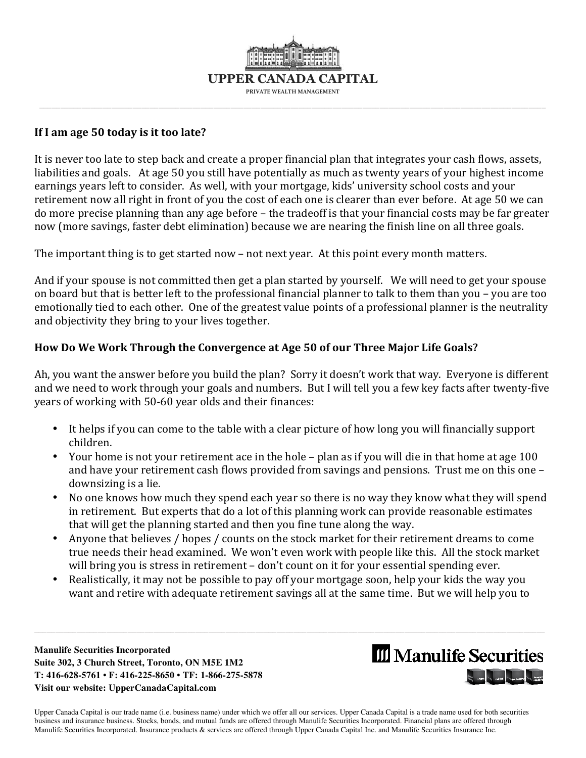

#### **If I am age 50 today is it too late?**

It is never too late to step back and create a proper financial plan that integrates your cash flows, assets, liabilities and goals. At age 50 you still have potentially as much as twenty years of your highest income earnings years left to consider. As well, with your mortgage, kids' university school costs and your retirement now all right in front of you the cost of each one is clearer than ever before. At age 50 we can do more precise planning than any age before – the tradeoff is that your financial costs may be far greater now (more savings, faster debt elimination) because we are nearing the finish line on all three goals.

The important thing is to get started now – not next year. At this point every month matters.

And if your spouse is not committed then get a plan started by yourself. We will need to get your spouse on board but that is better left to the professional financial planner to talk to them than you – you are too emotionally tied to each other. One of the greatest value points of a professional planner is the neutrality and objectivity they bring to your lives together.

### **How Do We Work Through the Convergence at Age 50 of our Three Major Life Goals?**

Ah, you want the answer before you build the plan? Sorry it doesn't work that way. Everyone is different and we need to work through your goals and numbers. But I will tell you a few key facts after twenty-five years of working with 50-60 year olds and their finances:

- It helps if you can come to the table with a clear picture of how long you will financially support children.
- Your home is not your retirement ace in the hole plan as if you will die in that home at age 100 and have your retirement cash flows provided from savings and pensions. Trust me on this one – downsizing is a lie.
- No one knows how much they spend each year so there is no way they know what they will spend in retirement. But experts that do a lot of this planning work can provide reasonable estimates that will get the planning started and then you fine tune along the way.
- Anyone that believes / hopes / counts on the stock market for their retirement dreams to come true needs their head examined. We won't even work with people like this. All the stock market will bring you is stress in retirement – don't count on it for your essential spending ever.
- Realistically, it may not be possible to pay off your mortgage soon, help your kids the way you want and retire with adequate retirement savings all at the same time. But we will help you to

 $\_$  ,  $\_$  ,  $\_$  ,  $\_$  ,  $\_$  ,  $\_$  ,  $\_$  ,  $\_$  ,  $\_$  ,  $\_$  ,  $\_$  ,  $\_$  ,  $\_$  ,  $\_$  ,  $\_$  ,  $\_$  ,  $\_$  ,  $\_$  ,  $\_$  ,  $\_$  ,  $\_$  ,  $\_$  ,  $\_$  ,  $\_$  ,  $\_$  ,  $\_$  ,  $\_$  ,  $\_$  ,  $\_$  ,  $\_$  ,  $\_$  ,  $\_$  ,  $\_$  ,  $\_$  ,  $\_$  ,  $\_$  ,  $\_$  ,

**Manulife Securities Incorporated Suite 302, 3 Church Street, Toronto, ON M5E 1M2 T: 416-628-5761 • F: 416-225-8650 • TF: 1-866-275-5878 Visit our website: UpperCanadaCapital.com** 

# **III** Manulife Securities **Common Common Section Common Common**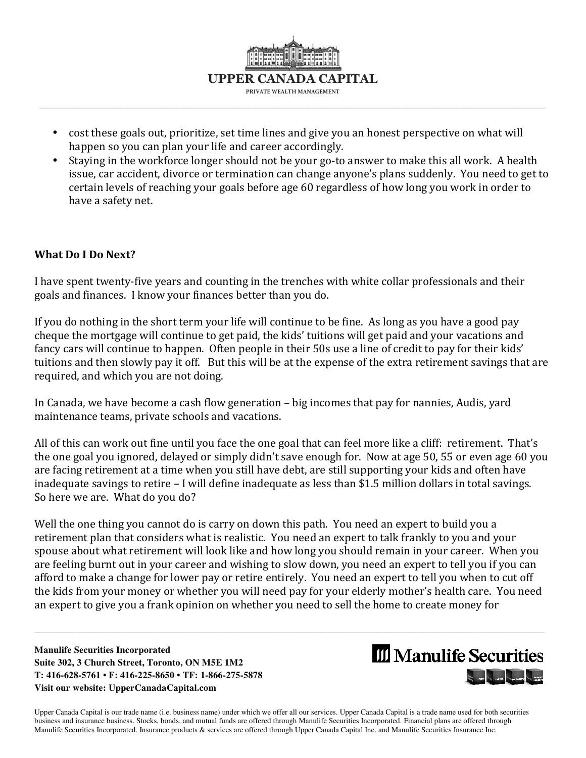

- cost these goals out, prioritize, set time lines and give you an honest perspective on what will happen so you can plan your life and career accordingly.
- Staying in the workforce longer should not be your go-to answer to make this all work. A health issue, car accident, divorce or termination can change anyone's plans suddenly. You need to get to certain levels of reaching your goals before age 60 regardless of how long you work in order to have a safety net.

#### **What Do I Do Next?**

I have spent twenty-five years and counting in the trenches with white collar professionals and their goals and finances. I know your finances better than you do.

If you do nothing in the short term your life will continue to be fine. As long as you have a good pay cheque the mortgage will continue to get paid, the kids' tuitions will get paid and your vacations and fancy cars will continue to happen. Often people in their 50s use a line of credit to pay for their kids' tuitions and then slowly pay it off. But this will be at the expense of the extra retirement savings that are required, and which you are not doing.

In Canada, we have become a cash flow generation – big incomes that pay for nannies, Audis, yard maintenance teams, private schools and vacations.

All of this can work out fine until you face the one goal that can feel more like a cliff: retirement. That's the one goal you ignored, delayed or simply didn't save enough for. Now at age 50, 55 or even age 60 you are facing retirement at a time when you still have debt, are still supporting your kids and often have inadequate savings to retire – I will define inadequate as less than \$1.5 million dollars in total savings. So here we are. What do you do?

Well the one thing you cannot do is carry on down this path. You need an expert to build you a retirement plan that considers what is realistic. You need an expert to talk frankly to you and your spouse about what retirement will look like and how long you should remain in your career. When you are feeling burnt out in your career and wishing to slow down, you need an expert to tell you if you can afford to make a change for lower pay or retire entirely. You need an expert to tell you when to cut off the kids from your money or whether you will need pay for your elderly mother's health care. You need an expert to give you a frank opinion on whether you need to sell the home to create money for

 $\_$  ,  $\_$  ,  $\_$  ,  $\_$  ,  $\_$  ,  $\_$  ,  $\_$  ,  $\_$  ,  $\_$  ,  $\_$  ,  $\_$  ,  $\_$  ,  $\_$  ,  $\_$  ,  $\_$  ,  $\_$  ,  $\_$  ,  $\_$  ,  $\_$  ,  $\_$  ,  $\_$  ,  $\_$  ,  $\_$  ,  $\_$  ,  $\_$  ,  $\_$  ,  $\_$  ,  $\_$  ,  $\_$  ,  $\_$  ,  $\_$  ,  $\_$  ,  $\_$  ,  $\_$  ,  $\_$  ,  $\_$  ,  $\_$  ,

**Manulife Securities Incorporated Suite 302, 3 Church Street, Toronto, ON M5E 1M2 T: 416-628-5761 • F: 416-225-8650 • TF: 1-866-275-5878 Visit our website: UpperCanadaCapital.com** 

# **III** Manulife Securities **The Community of the Community of Second Community**